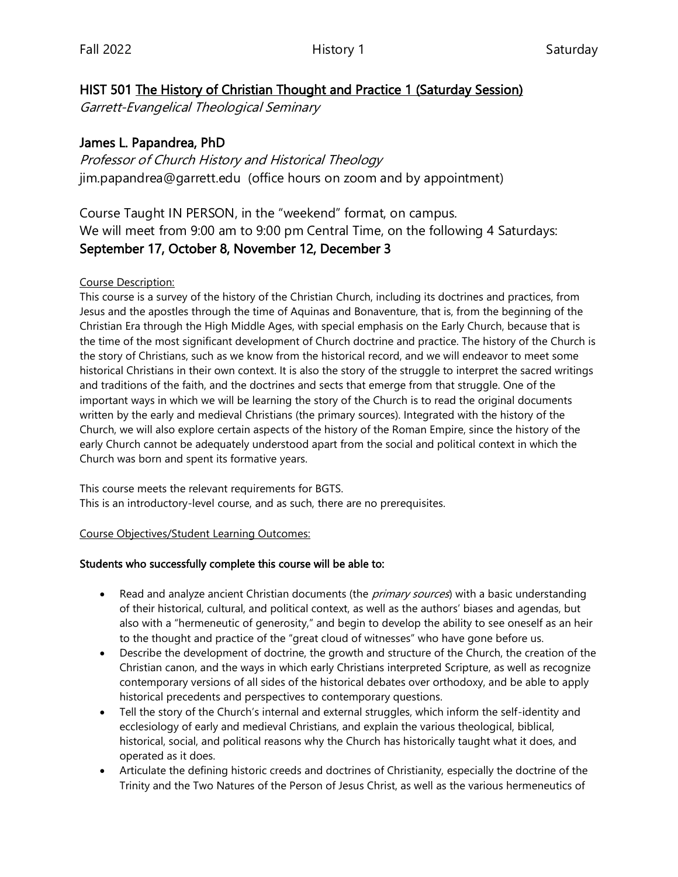## HIST 501 The History of Christian Thought and Practice 1 (Saturday Session)

Garrett-Evangelical Theological Seminary

## James L. Papandrea, PhD

Professor of Church History and Historical Theology jim.papandrea@garrett.edu (office hours on zoom and by appointment)

Course Taught IN PERSON, in the "weekend" format, on campus. We will meet from 9:00 am to 9:00 pm Central Time, on the following 4 Saturdays: September 17, October 8, November 12, December 3

#### Course Description:

This course is a survey of the history of the Christian Church, including its doctrines and practices, from Jesus and the apostles through the time of Aquinas and Bonaventure, that is, from the beginning of the Christian Era through the High Middle Ages, with special emphasis on the Early Church, because that is the time of the most significant development of Church doctrine and practice. The history of the Church is the story of Christians, such as we know from the historical record, and we will endeavor to meet some historical Christians in their own context. It is also the story of the struggle to interpret the sacred writings and traditions of the faith, and the doctrines and sects that emerge from that struggle. One of the important ways in which we will be learning the story of the Church is to read the original documents written by the early and medieval Christians (the primary sources). Integrated with the history of the Church, we will also explore certain aspects of the history of the Roman Empire, since the history of the early Church cannot be adequately understood apart from the social and political context in which the Church was born and spent its formative years.

This course meets the relevant requirements for BGTS. This is an introductory-level course, and as such, there are no prerequisites.

Course Objectives/Student Learning Outcomes:

#### Students who successfully complete this course will be able to:

- Read and analyze ancient Christian documents (the *primary sources*) with a basic understanding of their historical, cultural, and political context, as well as the authors' biases and agendas, but also with a "hermeneutic of generosity," and begin to develop the ability to see oneself as an heir to the thought and practice of the "great cloud of witnesses" who have gone before us.
- Describe the development of doctrine, the growth and structure of the Church, the creation of the Christian canon, and the ways in which early Christians interpreted Scripture, as well as recognize contemporary versions of all sides of the historical debates over orthodoxy, and be able to apply historical precedents and perspectives to contemporary questions.
- Tell the story of the Church's internal and external struggles, which inform the self-identity and ecclesiology of early and medieval Christians, and explain the various theological, biblical, historical, social, and political reasons why the Church has historically taught what it does, and operated as it does.
- Articulate the defining historic creeds and doctrines of Christianity, especially the doctrine of the Trinity and the Two Natures of the Person of Jesus Christ, as well as the various hermeneutics of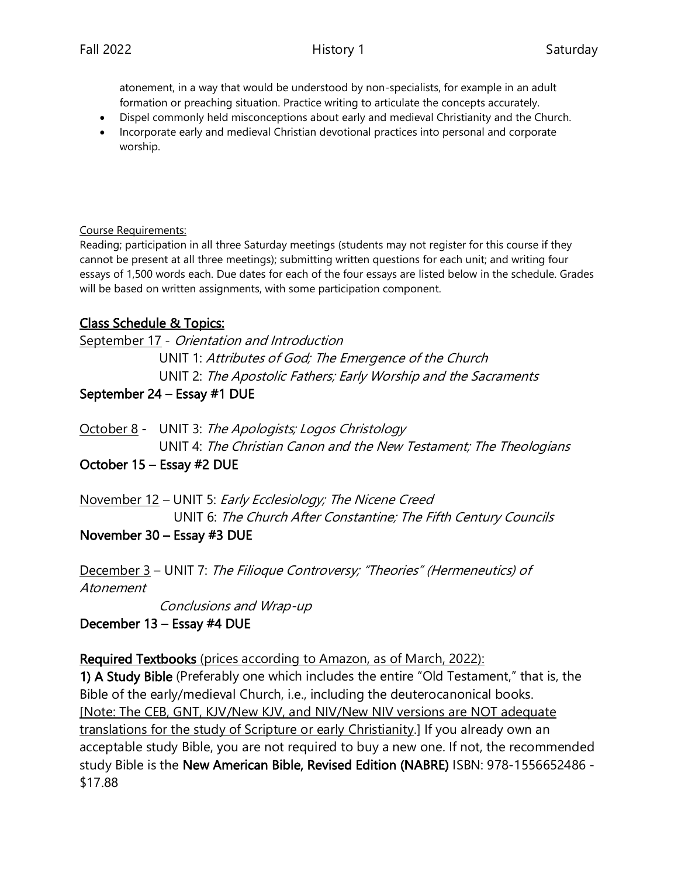atonement, in a way that would be understood by non-specialists, for example in an adult formation or preaching situation. Practice writing to articulate the concepts accurately.

- Dispel commonly held misconceptions about early and medieval Christianity and the Church.
- Incorporate early and medieval Christian devotional practices into personal and corporate worship.

#### Course Requirements:

Reading; participation in all three Saturday meetings (students may not register for this course if they cannot be present at all three meetings); submitting written questions for each unit; and writing four essays of 1,500 words each. Due dates for each of the four essays are listed below in the schedule. Grades will be based on written assignments, with some participation component.

# Class Schedule & Topics:

September 17 - Orientation and Introduction UNIT 1: Attributes of God; The Emergence of the Church UNIT 2: The Apostolic Fathers; Early Worship and the Sacraments

## September 24 – Essay #1 DUE

October 8 - UNIT 3: The Apologists; Logos Christology UNIT 4: The Christian Canon and the New Testament; The Theologians

## October 15 – Essay #2 DUE

November 12 – UNIT 5: Early Ecclesiology; The Nicene Creed UNIT 6: The Church After Constantine; The Fifth Century Councils

## November 30 – Essay #3 DUE

December 3 – UNIT 7: The Filioque Controversy; "Theories" (Hermeneutics) of Atonement

Conclusions and Wrap-up

December 13 – Essay #4 DUE

Required Textbooks (prices according to Amazon, as of March, 2022):

1) A Study Bible (Preferably one which includes the entire "Old Testament," that is, the Bible of the early/medieval Church, i.e., including the deuterocanonical books. [Note: The CEB, GNT, KJV/New KJV, and NIV/New NIV versions are NOT adequate translations for the study of Scripture or early Christianity.] If you already own an acceptable study Bible, you are not required to buy a new one. If not, the recommended study Bible is the New American Bible, Revised Edition (NABRE) ISBN: 978-1556652486 - \$17.88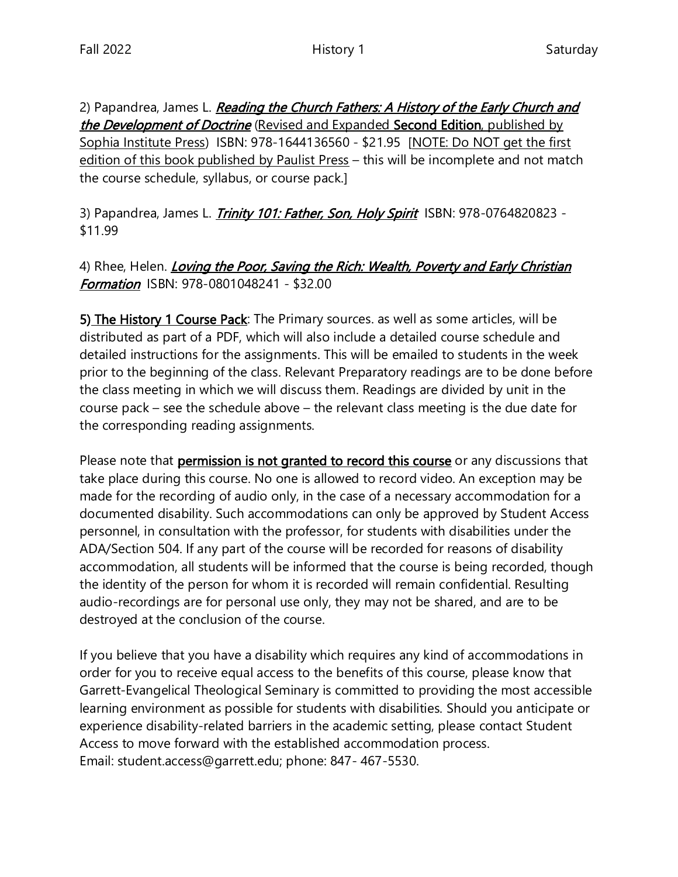2) Papandrea, James L. Reading the Church Fathers: A History of the Early Church and the Development of Doctrine (Revised and Expanded Second Edition, published by Sophia Institute Press) ISBN: 978-1644136560 - \$21.95 [NOTE: Do NOT get the first edition of this book published by Paulist Press – this will be incomplete and not match the course schedule, syllabus, or course pack.]

3) Papandrea, James L. *Trinity 101: Father, Son, Holy Spirit* ISBN: 978-0764820823 -\$11.99

4) Rhee, Helen. *Loving the Poor, Saving the Rich: Wealth, Poverty and Early Christian* Formation ISBN: 978-0801048241 - \$32.00

5) The History 1 Course Pack: The Primary sources. as well as some articles, will be distributed as part of a PDF, which will also include a detailed course schedule and detailed instructions for the assignments. This will be emailed to students in the week prior to the beginning of the class. Relevant Preparatory readings are to be done before the class meeting in which we will discuss them. Readings are divided by unit in the course pack – see the schedule above – the relevant class meeting is the due date for the corresponding reading assignments.

Please note that **permission is not granted to record this course** or any discussions that take place during this course. No one is allowed to record video. An exception may be made for the recording of audio only, in the case of a necessary accommodation for a documented disability. Such accommodations can only be approved by Student Access personnel, in consultation with the professor, for students with disabilities under the ADA/Section 504. If any part of the course will be recorded for reasons of disability accommodation, all students will be informed that the course is being recorded, though the identity of the person for whom it is recorded will remain confidential. Resulting audio-recordings are for personal use only, they may not be shared, and are to be destroyed at the conclusion of the course.

If you believe that you have a disability which requires any kind of accommodations in order for you to receive equal access to the benefits of this course, please know that Garrett-Evangelical Theological Seminary is committed to providing the most accessible learning environment as possible for students with disabilities. Should you anticipate or experience disability-related barriers in the academic setting, please contact Student Access to move forward with the established accommodation process. Email: student.access@garrett.edu; phone: 847- 467-5530.